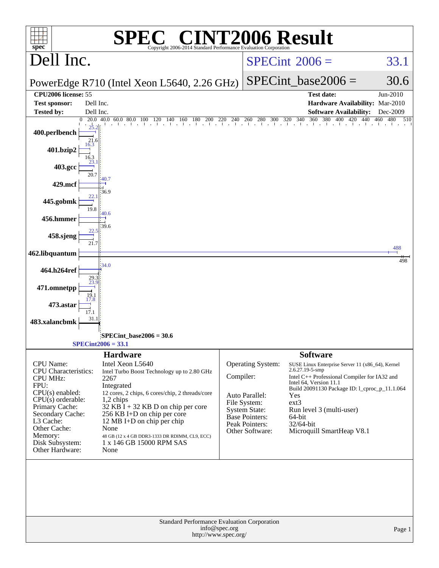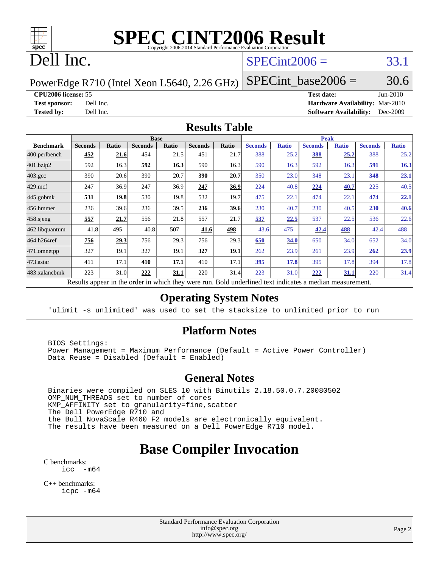

# **[SPEC CINT2006 Result](http://www.spec.org/auto/cpu2006/Docs/result-fields.html#SPECCINT2006Result)**

# Dell Inc.

### $SPECint2006 = 33.1$  $SPECint2006 = 33.1$

PowerEdge R710 (Intel Xeon L5640, 2.26 GHz) SPECint base2006 =  $30.6$ 

**[CPU2006 license:](http://www.spec.org/auto/cpu2006/Docs/result-fields.html#CPU2006license)** 55 **[Test date:](http://www.spec.org/auto/cpu2006/Docs/result-fields.html#Testdate)** Jun-2010 **[Test sponsor:](http://www.spec.org/auto/cpu2006/Docs/result-fields.html#Testsponsor)** Dell Inc. **[Hardware Availability:](http://www.spec.org/auto/cpu2006/Docs/result-fields.html#HardwareAvailability)** Mar-2010 **[Tested by:](http://www.spec.org/auto/cpu2006/Docs/result-fields.html#Testedby)** Dell Inc. **[Software Availability:](http://www.spec.org/auto/cpu2006/Docs/result-fields.html#SoftwareAvailability)** Dec-2009

#### **[Results Table](http://www.spec.org/auto/cpu2006/Docs/result-fields.html#ResultsTable)**

|                    |                |       | <b>Base</b>    |              |                |       |                |              | <b>Peak</b>    |              |                |              |
|--------------------|----------------|-------|----------------|--------------|----------------|-------|----------------|--------------|----------------|--------------|----------------|--------------|
| <b>Benchmark</b>   | <b>Seconds</b> | Ratio | <b>Seconds</b> | <b>Ratio</b> | <b>Seconds</b> | Ratio | <b>Seconds</b> | <b>Ratio</b> | <b>Seconds</b> | <b>Ratio</b> | <b>Seconds</b> | <b>Ratio</b> |
| 400.perlbench      | 452            | 21.6  | 454            | 21.5         | 451            | 21.7  | 388            | 25.2         | 388            | 25.2         | 388            | 25.2         |
| 401.bzip2          | 592            | 16.3  | 592            | 16.3         | 590            | 16.3  | 590            | 16.3         | 592            | 16.3         | <u>591</u>     | 16.3         |
| $403.\mathrm{gcc}$ | 390            | 20.6  | 390            | 20.7         | 390            | 20.7  | 350            | 23.0         | 348            | 23.1         | 348            | 23.1         |
| $429$ .mcf         | 247            | 36.9  | 247            | 36.9         | 247            | 36.9  | 224            | 40.8         | 224            | 40.7         | 225            | 40.5         |
| $445$ .gobmk       | 531            | 19.8  | 530            | 19.8         | 532            | 19.7  | 475            | 22.1         | 474            | 22.1         | 474            | 22.1         |
| $456.$ hmmer       | 236            | 39.6  | 236            | 39.5         | 236            | 39.6  | 230            | 40.7         | 230            | 40.5         | 230            | 40.6         |
| $458$ .sjeng       | 557            | 21.7  | 556            | 21.8         | 557            | 21.7  | 537            | 22.5         | 537            | 22.5         | 536            | 22.6         |
| 462.libquantum     | 41.8           | 495   | 40.8           | 507          | 41.6           | 498   | 43.6           | 475          | 42.4           | <u>488</u>   | 42.4           | 488          |
| 464.h264ref        | 756            | 29.3  | 756            | 29.3         | 756            | 29.3  | 650            | 34.0         | 650            | 34.0         | 652            | 34.0         |
| $471$ .omnetpp     | 327            | 19.1  | 327            | 19.1         | 327            | 19.1  | 262            | 23.9         | 261            | 23.9         | 262            | 23.9         |
| $473$ . astar      | 411            | 17.1  | 410            | 17.1         | 410            | 17.1  | <u>395</u>     | 17.8         | 395            | 17.8         | 394            | 17.8         |
| 483.xalancbmk      | 223            | 31.0  | 222            | 31.1         | 220            | 31.4  | 223            | 31.0         | 222            | <u>31.1</u>  | 220            | 31.4         |

Results appear in the [order in which they were run.](http://www.spec.org/auto/cpu2006/Docs/result-fields.html#RunOrder) Bold underlined text [indicates a median measurement.](http://www.spec.org/auto/cpu2006/Docs/result-fields.html#Median)

#### **[Operating System Notes](http://www.spec.org/auto/cpu2006/Docs/result-fields.html#OperatingSystemNotes)**

'ulimit -s unlimited' was used to set the stacksize to unlimited prior to run

#### **[Platform Notes](http://www.spec.org/auto/cpu2006/Docs/result-fields.html#PlatformNotes)**

 BIOS Settings: Power Management = Maximum Performance (Default = Active Power Controller) Data Reuse = Disabled (Default = Enabled)

#### **[General Notes](http://www.spec.org/auto/cpu2006/Docs/result-fields.html#GeneralNotes)**

 Binaries were compiled on SLES 10 with Binutils 2.18.50.0.7.20080502 OMP\_NUM\_THREADS set to number of cores KMP\_AFFINITY set to granularity=fine,scatter The Dell PowerEdge R710 and the Bull NovaScale R460 F2 models are electronically equivalent. The results have been measured on a Dell PowerEdge R710 model.

## **[Base Compiler Invocation](http://www.spec.org/auto/cpu2006/Docs/result-fields.html#BaseCompilerInvocation)**

[C benchmarks](http://www.spec.org/auto/cpu2006/Docs/result-fields.html#Cbenchmarks): [icc -m64](http://www.spec.org/cpu2006/results/res2010q3/cpu2006-20100702-12151.flags.html#user_CCbase_intel_icc_64bit_f346026e86af2a669e726fe758c88044)

[C++ benchmarks:](http://www.spec.org/auto/cpu2006/Docs/result-fields.html#CXXbenchmarks) [icpc -m64](http://www.spec.org/cpu2006/results/res2010q3/cpu2006-20100702-12151.flags.html#user_CXXbase_intel_icpc_64bit_fc66a5337ce925472a5c54ad6a0de310)

> Standard Performance Evaluation Corporation [info@spec.org](mailto:info@spec.org) <http://www.spec.org/>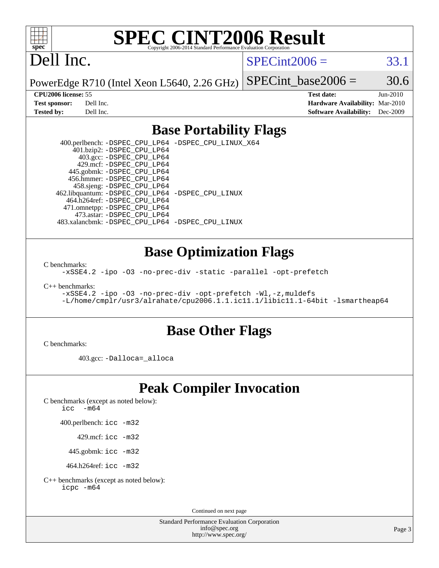

# **[SPEC CINT2006 Result](http://www.spec.org/auto/cpu2006/Docs/result-fields.html#SPECCINT2006Result)**

# Dell Inc.

 $SPECint2006 = 33.1$  $SPECint2006 = 33.1$ 

PowerEdge R710 (Intel Xeon L5640, 2.26 GHz) SPECint base2006 =  $30.6$ 

**[CPU2006 license:](http://www.spec.org/auto/cpu2006/Docs/result-fields.html#CPU2006license)** 55 **[Test date:](http://www.spec.org/auto/cpu2006/Docs/result-fields.html#Testdate)** Jun-2010 **[Test sponsor:](http://www.spec.org/auto/cpu2006/Docs/result-fields.html#Testsponsor)** Dell Inc. **[Hardware Availability:](http://www.spec.org/auto/cpu2006/Docs/result-fields.html#HardwareAvailability)** Mar-2010 **[Tested by:](http://www.spec.org/auto/cpu2006/Docs/result-fields.html#Testedby)** Dell Inc. **[Software Availability:](http://www.spec.org/auto/cpu2006/Docs/result-fields.html#SoftwareAvailability)** Dec-2009

#### **[Base Portability Flags](http://www.spec.org/auto/cpu2006/Docs/result-fields.html#BasePortabilityFlags)**

 400.perlbench: [-DSPEC\\_CPU\\_LP64](http://www.spec.org/cpu2006/results/res2010q3/cpu2006-20100702-12151.flags.html#b400.perlbench_basePORTABILITY_DSPEC_CPU_LP64) [-DSPEC\\_CPU\\_LINUX\\_X64](http://www.spec.org/cpu2006/results/res2010q3/cpu2006-20100702-12151.flags.html#b400.perlbench_baseCPORTABILITY_DSPEC_CPU_LINUX_X64) 401.bzip2: [-DSPEC\\_CPU\\_LP64](http://www.spec.org/cpu2006/results/res2010q3/cpu2006-20100702-12151.flags.html#suite_basePORTABILITY401_bzip2_DSPEC_CPU_LP64) 403.gcc: [-DSPEC\\_CPU\\_LP64](http://www.spec.org/cpu2006/results/res2010q3/cpu2006-20100702-12151.flags.html#suite_basePORTABILITY403_gcc_DSPEC_CPU_LP64) 429.mcf: [-DSPEC\\_CPU\\_LP64](http://www.spec.org/cpu2006/results/res2010q3/cpu2006-20100702-12151.flags.html#suite_basePORTABILITY429_mcf_DSPEC_CPU_LP64) 445.gobmk: [-DSPEC\\_CPU\\_LP64](http://www.spec.org/cpu2006/results/res2010q3/cpu2006-20100702-12151.flags.html#suite_basePORTABILITY445_gobmk_DSPEC_CPU_LP64) 456.hmmer: [-DSPEC\\_CPU\\_LP64](http://www.spec.org/cpu2006/results/res2010q3/cpu2006-20100702-12151.flags.html#suite_basePORTABILITY456_hmmer_DSPEC_CPU_LP64) 458.sjeng: [-DSPEC\\_CPU\\_LP64](http://www.spec.org/cpu2006/results/res2010q3/cpu2006-20100702-12151.flags.html#suite_basePORTABILITY458_sjeng_DSPEC_CPU_LP64) 462.libquantum: [-DSPEC\\_CPU\\_LP64](http://www.spec.org/cpu2006/results/res2010q3/cpu2006-20100702-12151.flags.html#suite_basePORTABILITY462_libquantum_DSPEC_CPU_LP64) [-DSPEC\\_CPU\\_LINUX](http://www.spec.org/cpu2006/results/res2010q3/cpu2006-20100702-12151.flags.html#b462.libquantum_baseCPORTABILITY_DSPEC_CPU_LINUX) 464.h264ref: [-DSPEC\\_CPU\\_LP64](http://www.spec.org/cpu2006/results/res2010q3/cpu2006-20100702-12151.flags.html#suite_basePORTABILITY464_h264ref_DSPEC_CPU_LP64) 471.omnetpp: [-DSPEC\\_CPU\\_LP64](http://www.spec.org/cpu2006/results/res2010q3/cpu2006-20100702-12151.flags.html#suite_basePORTABILITY471_omnetpp_DSPEC_CPU_LP64) 473.astar: [-DSPEC\\_CPU\\_LP64](http://www.spec.org/cpu2006/results/res2010q3/cpu2006-20100702-12151.flags.html#suite_basePORTABILITY473_astar_DSPEC_CPU_LP64) 483.xalancbmk: [-DSPEC\\_CPU\\_LP64](http://www.spec.org/cpu2006/results/res2010q3/cpu2006-20100702-12151.flags.html#suite_basePORTABILITY483_xalancbmk_DSPEC_CPU_LP64) [-DSPEC\\_CPU\\_LINUX](http://www.spec.org/cpu2006/results/res2010q3/cpu2006-20100702-12151.flags.html#b483.xalancbmk_baseCXXPORTABILITY_DSPEC_CPU_LINUX)

#### **[Base Optimization Flags](http://www.spec.org/auto/cpu2006/Docs/result-fields.html#BaseOptimizationFlags)**

[C benchmarks](http://www.spec.org/auto/cpu2006/Docs/result-fields.html#Cbenchmarks):

[-xSSE4.2](http://www.spec.org/cpu2006/results/res2010q3/cpu2006-20100702-12151.flags.html#user_CCbase_f-xSSE42_f91528193cf0b216347adb8b939d4107) [-ipo](http://www.spec.org/cpu2006/results/res2010q3/cpu2006-20100702-12151.flags.html#user_CCbase_f-ipo) [-O3](http://www.spec.org/cpu2006/results/res2010q3/cpu2006-20100702-12151.flags.html#user_CCbase_f-O3) [-no-prec-div](http://www.spec.org/cpu2006/results/res2010q3/cpu2006-20100702-12151.flags.html#user_CCbase_f-no-prec-div) [-static](http://www.spec.org/cpu2006/results/res2010q3/cpu2006-20100702-12151.flags.html#user_CCbase_f-static) [-parallel](http://www.spec.org/cpu2006/results/res2010q3/cpu2006-20100702-12151.flags.html#user_CCbase_f-parallel) [-opt-prefetch](http://www.spec.org/cpu2006/results/res2010q3/cpu2006-20100702-12151.flags.html#user_CCbase_f-opt-prefetch)

[C++ benchmarks:](http://www.spec.org/auto/cpu2006/Docs/result-fields.html#CXXbenchmarks)

[-xSSE4.2](http://www.spec.org/cpu2006/results/res2010q3/cpu2006-20100702-12151.flags.html#user_CXXbase_f-xSSE42_f91528193cf0b216347adb8b939d4107) [-ipo](http://www.spec.org/cpu2006/results/res2010q3/cpu2006-20100702-12151.flags.html#user_CXXbase_f-ipo) [-O3](http://www.spec.org/cpu2006/results/res2010q3/cpu2006-20100702-12151.flags.html#user_CXXbase_f-O3) [-no-prec-div](http://www.spec.org/cpu2006/results/res2010q3/cpu2006-20100702-12151.flags.html#user_CXXbase_f-no-prec-div) [-opt-prefetch](http://www.spec.org/cpu2006/results/res2010q3/cpu2006-20100702-12151.flags.html#user_CXXbase_f-opt-prefetch) [-Wl,-z,muldefs](http://www.spec.org/cpu2006/results/res2010q3/cpu2006-20100702-12151.flags.html#user_CXXbase_link_force_multiple1_74079c344b956b9658436fd1b6dd3a8a) [-L/home/cmplr/usr3/alrahate/cpu2006.1.1.ic11.1/libic11.1-64bit -lsmartheap64](http://www.spec.org/cpu2006/results/res2010q3/cpu2006-20100702-12151.flags.html#user_CXXbase_SmartHeap64_e2306cda84805d1ab360117a79ff779c)

#### **[Base Other Flags](http://www.spec.org/auto/cpu2006/Docs/result-fields.html#BaseOtherFlags)**

[C benchmarks](http://www.spec.org/auto/cpu2006/Docs/result-fields.html#Cbenchmarks):

403.gcc: [-Dalloca=\\_alloca](http://www.spec.org/cpu2006/results/res2010q3/cpu2006-20100702-12151.flags.html#b403.gcc_baseEXTRA_CFLAGS_Dalloca_be3056838c12de2578596ca5467af7f3)

## **[Peak Compiler Invocation](http://www.spec.org/auto/cpu2006/Docs/result-fields.html#PeakCompilerInvocation)**

[C benchmarks \(except as noted below\)](http://www.spec.org/auto/cpu2006/Docs/result-fields.html#Cbenchmarksexceptasnotedbelow):

icc  $-m64$ 

400.perlbench: [icc -m32](http://www.spec.org/cpu2006/results/res2010q3/cpu2006-20100702-12151.flags.html#user_peakCCLD400_perlbench_intel_icc_32bit_a6a621f8d50482236b970c6ac5f55f93)

429.mcf: [icc -m32](http://www.spec.org/cpu2006/results/res2010q3/cpu2006-20100702-12151.flags.html#user_peakCCLD429_mcf_intel_icc_32bit_a6a621f8d50482236b970c6ac5f55f93)

445.gobmk: [icc -m32](http://www.spec.org/cpu2006/results/res2010q3/cpu2006-20100702-12151.flags.html#user_peakCCLD445_gobmk_intel_icc_32bit_a6a621f8d50482236b970c6ac5f55f93)

464.h264ref: [icc -m32](http://www.spec.org/cpu2006/results/res2010q3/cpu2006-20100702-12151.flags.html#user_peakCCLD464_h264ref_intel_icc_32bit_a6a621f8d50482236b970c6ac5f55f93)

[C++ benchmarks \(except as noted below\):](http://www.spec.org/auto/cpu2006/Docs/result-fields.html#CXXbenchmarksexceptasnotedbelow) [icpc -m64](http://www.spec.org/cpu2006/results/res2010q3/cpu2006-20100702-12151.flags.html#user_CXXpeak_intel_icpc_64bit_fc66a5337ce925472a5c54ad6a0de310)

Continued on next page

Standard Performance Evaluation Corporation [info@spec.org](mailto:info@spec.org) <http://www.spec.org/>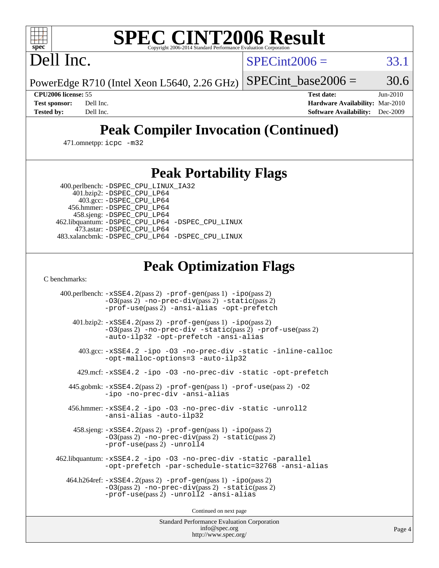

# **[SPEC CINT2006 Result](http://www.spec.org/auto/cpu2006/Docs/result-fields.html#SPECCINT2006Result)**

Dell Inc.

 $SPECint2006 = 33.1$  $SPECint2006 = 33.1$ 

PowerEdge R710 (Intel Xeon L5640, 2.26 GHz) SPECint base2006 =  $30.6$ 

**[CPU2006 license:](http://www.spec.org/auto/cpu2006/Docs/result-fields.html#CPU2006license)** 55 **[Test date:](http://www.spec.org/auto/cpu2006/Docs/result-fields.html#Testdate)** Jun-2010 **[Test sponsor:](http://www.spec.org/auto/cpu2006/Docs/result-fields.html#Testsponsor)** Dell Inc. **[Hardware Availability:](http://www.spec.org/auto/cpu2006/Docs/result-fields.html#HardwareAvailability)** Mar-2010 **[Tested by:](http://www.spec.org/auto/cpu2006/Docs/result-fields.html#Testedby)** Dell Inc. **[Software Availability:](http://www.spec.org/auto/cpu2006/Docs/result-fields.html#SoftwareAvailability)** Dec-2009

# **[Peak Compiler Invocation \(Continued\)](http://www.spec.org/auto/cpu2006/Docs/result-fields.html#PeakCompilerInvocation)**

471.omnetpp: [icpc -m32](http://www.spec.org/cpu2006/results/res2010q3/cpu2006-20100702-12151.flags.html#user_peakCXXLD471_omnetpp_intel_icpc_32bit_4e5a5ef1a53fd332b3c49e69c3330699)

### **[Peak Portability Flags](http://www.spec.org/auto/cpu2006/Docs/result-fields.html#PeakPortabilityFlags)**

 400.perlbench: [-DSPEC\\_CPU\\_LINUX\\_IA32](http://www.spec.org/cpu2006/results/res2010q3/cpu2006-20100702-12151.flags.html#b400.perlbench_peakCPORTABILITY_DSPEC_CPU_LINUX_IA32) 401.bzip2: [-DSPEC\\_CPU\\_LP64](http://www.spec.org/cpu2006/results/res2010q3/cpu2006-20100702-12151.flags.html#suite_peakPORTABILITY401_bzip2_DSPEC_CPU_LP64)

 403.gcc: [-DSPEC\\_CPU\\_LP64](http://www.spec.org/cpu2006/results/res2010q3/cpu2006-20100702-12151.flags.html#suite_peakPORTABILITY403_gcc_DSPEC_CPU_LP64) 456.hmmer: [-DSPEC\\_CPU\\_LP64](http://www.spec.org/cpu2006/results/res2010q3/cpu2006-20100702-12151.flags.html#suite_peakPORTABILITY456_hmmer_DSPEC_CPU_LP64) 458.sjeng: [-DSPEC\\_CPU\\_LP64](http://www.spec.org/cpu2006/results/res2010q3/cpu2006-20100702-12151.flags.html#suite_peakPORTABILITY458_sjeng_DSPEC_CPU_LP64) 462.libquantum: [-DSPEC\\_CPU\\_LP64](http://www.spec.org/cpu2006/results/res2010q3/cpu2006-20100702-12151.flags.html#suite_peakPORTABILITY462_libquantum_DSPEC_CPU_LP64) [-DSPEC\\_CPU\\_LINUX](http://www.spec.org/cpu2006/results/res2010q3/cpu2006-20100702-12151.flags.html#b462.libquantum_peakCPORTABILITY_DSPEC_CPU_LINUX) 473.astar: [-DSPEC\\_CPU\\_LP64](http://www.spec.org/cpu2006/results/res2010q3/cpu2006-20100702-12151.flags.html#suite_peakPORTABILITY473_astar_DSPEC_CPU_LP64) 483.xalancbmk: [-DSPEC\\_CPU\\_LP64](http://www.spec.org/cpu2006/results/res2010q3/cpu2006-20100702-12151.flags.html#suite_peakPORTABILITY483_xalancbmk_DSPEC_CPU_LP64) [-DSPEC\\_CPU\\_LINUX](http://www.spec.org/cpu2006/results/res2010q3/cpu2006-20100702-12151.flags.html#b483.xalancbmk_peakCXXPORTABILITY_DSPEC_CPU_LINUX)

# **[Peak Optimization Flags](http://www.spec.org/auto/cpu2006/Docs/result-fields.html#PeakOptimizationFlags)**

[C benchmarks](http://www.spec.org/auto/cpu2006/Docs/result-fields.html#Cbenchmarks):

 400.perlbench: [-xSSE4.2](http://www.spec.org/cpu2006/results/res2010q3/cpu2006-20100702-12151.flags.html#user_peakPASS2_CFLAGSPASS2_LDCFLAGS400_perlbench_f-xSSE42_f91528193cf0b216347adb8b939d4107)(pass 2) [-prof-gen](http://www.spec.org/cpu2006/results/res2010q3/cpu2006-20100702-12151.flags.html#user_peakPASS1_CFLAGSPASS1_LDCFLAGS400_perlbench_prof_gen_e43856698f6ca7b7e442dfd80e94a8fc)(pass 1) [-ipo](http://www.spec.org/cpu2006/results/res2010q3/cpu2006-20100702-12151.flags.html#user_peakPASS2_CFLAGSPASS2_LDCFLAGS400_perlbench_f-ipo)(pass 2) [-O3](http://www.spec.org/cpu2006/results/res2010q3/cpu2006-20100702-12151.flags.html#user_peakPASS2_CFLAGSPASS2_LDCFLAGS400_perlbench_f-O3)(pass 2) [-no-prec-div](http://www.spec.org/cpu2006/results/res2010q3/cpu2006-20100702-12151.flags.html#user_peakPASS2_CFLAGSPASS2_LDCFLAGS400_perlbench_f-no-prec-div)(pass 2) [-static](http://www.spec.org/cpu2006/results/res2010q3/cpu2006-20100702-12151.flags.html#user_peakPASS2_CFLAGSPASS2_LDCFLAGS400_perlbench_f-static)(pass 2) [-prof-use](http://www.spec.org/cpu2006/results/res2010q3/cpu2006-20100702-12151.flags.html#user_peakPASS2_CFLAGSPASS2_LDCFLAGS400_perlbench_prof_use_bccf7792157ff70d64e32fe3e1250b55)(pass 2) [-ansi-alias](http://www.spec.org/cpu2006/results/res2010q3/cpu2006-20100702-12151.flags.html#user_peakCOPTIMIZE400_perlbench_f-ansi-alias) [-opt-prefetch](http://www.spec.org/cpu2006/results/res2010q3/cpu2006-20100702-12151.flags.html#user_peakCOPTIMIZE400_perlbench_f-opt-prefetch) 401.bzip2: [-xSSE4.2](http://www.spec.org/cpu2006/results/res2010q3/cpu2006-20100702-12151.flags.html#user_peakPASS2_CFLAGSPASS2_LDCFLAGS401_bzip2_f-xSSE42_f91528193cf0b216347adb8b939d4107)(pass 2) [-prof-gen](http://www.spec.org/cpu2006/results/res2010q3/cpu2006-20100702-12151.flags.html#user_peakPASS1_CFLAGSPASS1_LDCFLAGS401_bzip2_prof_gen_e43856698f6ca7b7e442dfd80e94a8fc)(pass 1) [-ipo](http://www.spec.org/cpu2006/results/res2010q3/cpu2006-20100702-12151.flags.html#user_peakPASS2_CFLAGSPASS2_LDCFLAGS401_bzip2_f-ipo)(pass 2) [-O3](http://www.spec.org/cpu2006/results/res2010q3/cpu2006-20100702-12151.flags.html#user_peakPASS2_CFLAGSPASS2_LDCFLAGS401_bzip2_f-O3)(pass 2) [-no-prec-div](http://www.spec.org/cpu2006/results/res2010q3/cpu2006-20100702-12151.flags.html#user_peakCOPTIMIZEPASS2_CFLAGSPASS2_LDCFLAGS401_bzip2_f-no-prec-div) [-static](http://www.spec.org/cpu2006/results/res2010q3/cpu2006-20100702-12151.flags.html#user_peakPASS2_CFLAGSPASS2_LDCFLAGS401_bzip2_f-static)(pass 2) [-prof-use](http://www.spec.org/cpu2006/results/res2010q3/cpu2006-20100702-12151.flags.html#user_peakPASS2_CFLAGSPASS2_LDCFLAGS401_bzip2_prof_use_bccf7792157ff70d64e32fe3e1250b55)(pass 2) [-auto-ilp32](http://www.spec.org/cpu2006/results/res2010q3/cpu2006-20100702-12151.flags.html#user_peakCOPTIMIZE401_bzip2_f-auto-ilp32) [-opt-prefetch](http://www.spec.org/cpu2006/results/res2010q3/cpu2006-20100702-12151.flags.html#user_peakCOPTIMIZE401_bzip2_f-opt-prefetch) [-ansi-alias](http://www.spec.org/cpu2006/results/res2010q3/cpu2006-20100702-12151.flags.html#user_peakCOPTIMIZE401_bzip2_f-ansi-alias) 403.gcc: [-xSSE4.2](http://www.spec.org/cpu2006/results/res2010q3/cpu2006-20100702-12151.flags.html#user_peakCOPTIMIZE403_gcc_f-xSSE42_f91528193cf0b216347adb8b939d4107) [-ipo](http://www.spec.org/cpu2006/results/res2010q3/cpu2006-20100702-12151.flags.html#user_peakCOPTIMIZE403_gcc_f-ipo) [-O3](http://www.spec.org/cpu2006/results/res2010q3/cpu2006-20100702-12151.flags.html#user_peakCOPTIMIZE403_gcc_f-O3) [-no-prec-div](http://www.spec.org/cpu2006/results/res2010q3/cpu2006-20100702-12151.flags.html#user_peakCOPTIMIZE403_gcc_f-no-prec-div) [-static](http://www.spec.org/cpu2006/results/res2010q3/cpu2006-20100702-12151.flags.html#user_peakCOPTIMIZE403_gcc_f-static) [-inline-calloc](http://www.spec.org/cpu2006/results/res2010q3/cpu2006-20100702-12151.flags.html#user_peakCOPTIMIZE403_gcc_f-inline-calloc) [-opt-malloc-options=3](http://www.spec.org/cpu2006/results/res2010q3/cpu2006-20100702-12151.flags.html#user_peakCOPTIMIZE403_gcc_f-opt-malloc-options_13ab9b803cf986b4ee62f0a5998c2238) [-auto-ilp32](http://www.spec.org/cpu2006/results/res2010q3/cpu2006-20100702-12151.flags.html#user_peakCOPTIMIZE403_gcc_f-auto-ilp32) 429.mcf: [-xSSE4.2](http://www.spec.org/cpu2006/results/res2010q3/cpu2006-20100702-12151.flags.html#user_peakCOPTIMIZE429_mcf_f-xSSE42_f91528193cf0b216347adb8b939d4107) [-ipo](http://www.spec.org/cpu2006/results/res2010q3/cpu2006-20100702-12151.flags.html#user_peakCOPTIMIZE429_mcf_f-ipo) [-O3](http://www.spec.org/cpu2006/results/res2010q3/cpu2006-20100702-12151.flags.html#user_peakCOPTIMIZE429_mcf_f-O3) [-no-prec-div](http://www.spec.org/cpu2006/results/res2010q3/cpu2006-20100702-12151.flags.html#user_peakCOPTIMIZE429_mcf_f-no-prec-div) [-static](http://www.spec.org/cpu2006/results/res2010q3/cpu2006-20100702-12151.flags.html#user_peakCOPTIMIZE429_mcf_f-static) [-opt-prefetch](http://www.spec.org/cpu2006/results/res2010q3/cpu2006-20100702-12151.flags.html#user_peakCOPTIMIZE429_mcf_f-opt-prefetch) 445.gobmk: [-xSSE4.2](http://www.spec.org/cpu2006/results/res2010q3/cpu2006-20100702-12151.flags.html#user_peakPASS2_CFLAGSPASS2_LDCFLAGS445_gobmk_f-xSSE42_f91528193cf0b216347adb8b939d4107)(pass 2) [-prof-gen](http://www.spec.org/cpu2006/results/res2010q3/cpu2006-20100702-12151.flags.html#user_peakPASS1_CFLAGSPASS1_LDCFLAGS445_gobmk_prof_gen_e43856698f6ca7b7e442dfd80e94a8fc)(pass 1) [-prof-use](http://www.spec.org/cpu2006/results/res2010q3/cpu2006-20100702-12151.flags.html#user_peakPASS2_CFLAGSPASS2_LDCFLAGS445_gobmk_prof_use_bccf7792157ff70d64e32fe3e1250b55)(pass 2) [-O2](http://www.spec.org/cpu2006/results/res2010q3/cpu2006-20100702-12151.flags.html#user_peakCOPTIMIZE445_gobmk_f-O2) [-ipo](http://www.spec.org/cpu2006/results/res2010q3/cpu2006-20100702-12151.flags.html#user_peakCOPTIMIZE445_gobmk_f-ipo) [-no-prec-div](http://www.spec.org/cpu2006/results/res2010q3/cpu2006-20100702-12151.flags.html#user_peakCOPTIMIZE445_gobmk_f-no-prec-div) [-ansi-alias](http://www.spec.org/cpu2006/results/res2010q3/cpu2006-20100702-12151.flags.html#user_peakCOPTIMIZE445_gobmk_f-ansi-alias) 456.hmmer: [-xSSE4.2](http://www.spec.org/cpu2006/results/res2010q3/cpu2006-20100702-12151.flags.html#user_peakCOPTIMIZE456_hmmer_f-xSSE42_f91528193cf0b216347adb8b939d4107) [-ipo](http://www.spec.org/cpu2006/results/res2010q3/cpu2006-20100702-12151.flags.html#user_peakCOPTIMIZE456_hmmer_f-ipo) [-O3](http://www.spec.org/cpu2006/results/res2010q3/cpu2006-20100702-12151.flags.html#user_peakCOPTIMIZE456_hmmer_f-O3) [-no-prec-div](http://www.spec.org/cpu2006/results/res2010q3/cpu2006-20100702-12151.flags.html#user_peakCOPTIMIZE456_hmmer_f-no-prec-div) [-static](http://www.spec.org/cpu2006/results/res2010q3/cpu2006-20100702-12151.flags.html#user_peakCOPTIMIZE456_hmmer_f-static) [-unroll2](http://www.spec.org/cpu2006/results/res2010q3/cpu2006-20100702-12151.flags.html#user_peakCOPTIMIZE456_hmmer_f-unroll_784dae83bebfb236979b41d2422d7ec2) [-ansi-alias](http://www.spec.org/cpu2006/results/res2010q3/cpu2006-20100702-12151.flags.html#user_peakCOPTIMIZE456_hmmer_f-ansi-alias) [-auto-ilp32](http://www.spec.org/cpu2006/results/res2010q3/cpu2006-20100702-12151.flags.html#user_peakCOPTIMIZE456_hmmer_f-auto-ilp32) 458.sjeng: [-xSSE4.2](http://www.spec.org/cpu2006/results/res2010q3/cpu2006-20100702-12151.flags.html#user_peakPASS2_CFLAGSPASS2_LDCFLAGS458_sjeng_f-xSSE42_f91528193cf0b216347adb8b939d4107)(pass 2) [-prof-gen](http://www.spec.org/cpu2006/results/res2010q3/cpu2006-20100702-12151.flags.html#user_peakPASS1_CFLAGSPASS1_LDCFLAGS458_sjeng_prof_gen_e43856698f6ca7b7e442dfd80e94a8fc)(pass 1) [-ipo](http://www.spec.org/cpu2006/results/res2010q3/cpu2006-20100702-12151.flags.html#user_peakPASS2_CFLAGSPASS2_LDCFLAGS458_sjeng_f-ipo)(pass 2) [-O3](http://www.spec.org/cpu2006/results/res2010q3/cpu2006-20100702-12151.flags.html#user_peakPASS2_CFLAGSPASS2_LDCFLAGS458_sjeng_f-O3)(pass 2) [-no-prec-div](http://www.spec.org/cpu2006/results/res2010q3/cpu2006-20100702-12151.flags.html#user_peakPASS2_CFLAGSPASS2_LDCFLAGS458_sjeng_f-no-prec-div)(pass 2) [-static](http://www.spec.org/cpu2006/results/res2010q3/cpu2006-20100702-12151.flags.html#user_peakPASS2_CFLAGSPASS2_LDCFLAGS458_sjeng_f-static)(pass 2) [-prof-use](http://www.spec.org/cpu2006/results/res2010q3/cpu2006-20100702-12151.flags.html#user_peakPASS2_CFLAGSPASS2_LDCFLAGS458_sjeng_prof_use_bccf7792157ff70d64e32fe3e1250b55)(pass 2) [-unroll4](http://www.spec.org/cpu2006/results/res2010q3/cpu2006-20100702-12151.flags.html#user_peakCOPTIMIZE458_sjeng_f-unroll_4e5e4ed65b7fd20bdcd365bec371b81f) 462.libquantum: [-xSSE4.2](http://www.spec.org/cpu2006/results/res2010q3/cpu2006-20100702-12151.flags.html#user_peakCOPTIMIZE462_libquantum_f-xSSE42_f91528193cf0b216347adb8b939d4107) [-ipo](http://www.spec.org/cpu2006/results/res2010q3/cpu2006-20100702-12151.flags.html#user_peakCOPTIMIZE462_libquantum_f-ipo) [-O3](http://www.spec.org/cpu2006/results/res2010q3/cpu2006-20100702-12151.flags.html#user_peakCOPTIMIZE462_libquantum_f-O3) [-no-prec-div](http://www.spec.org/cpu2006/results/res2010q3/cpu2006-20100702-12151.flags.html#user_peakCOPTIMIZE462_libquantum_f-no-prec-div) [-static](http://www.spec.org/cpu2006/results/res2010q3/cpu2006-20100702-12151.flags.html#user_peakCOPTIMIZE462_libquantum_f-static) [-parallel](http://www.spec.org/cpu2006/results/res2010q3/cpu2006-20100702-12151.flags.html#user_peakCOPTIMIZE462_libquantum_f-parallel) [-opt-prefetch](http://www.spec.org/cpu2006/results/res2010q3/cpu2006-20100702-12151.flags.html#user_peakCOPTIMIZE462_libquantum_f-opt-prefetch) [-par-schedule-static=32768](http://www.spec.org/cpu2006/results/res2010q3/cpu2006-20100702-12151.flags.html#user_peakCOPTIMIZE462_libquantum_f-par-schedule_9386bcd99ba64e99ee01d1aafefddd14) [-ansi-alias](http://www.spec.org/cpu2006/results/res2010q3/cpu2006-20100702-12151.flags.html#user_peakCOPTIMIZE462_libquantum_f-ansi-alias) 464.h264ref: [-xSSE4.2](http://www.spec.org/cpu2006/results/res2010q3/cpu2006-20100702-12151.flags.html#user_peakPASS2_CFLAGSPASS2_LDCFLAGS464_h264ref_f-xSSE42_f91528193cf0b216347adb8b939d4107)(pass 2) [-prof-gen](http://www.spec.org/cpu2006/results/res2010q3/cpu2006-20100702-12151.flags.html#user_peakPASS1_CFLAGSPASS1_LDCFLAGS464_h264ref_prof_gen_e43856698f6ca7b7e442dfd80e94a8fc)(pass 1) [-ipo](http://www.spec.org/cpu2006/results/res2010q3/cpu2006-20100702-12151.flags.html#user_peakPASS2_CFLAGSPASS2_LDCFLAGS464_h264ref_f-ipo)(pass 2) [-O3](http://www.spec.org/cpu2006/results/res2010q3/cpu2006-20100702-12151.flags.html#user_peakPASS2_CFLAGSPASS2_LDCFLAGS464_h264ref_f-O3)(pass 2) [-no-prec-div](http://www.spec.org/cpu2006/results/res2010q3/cpu2006-20100702-12151.flags.html#user_peakPASS2_CFLAGSPASS2_LDCFLAGS464_h264ref_f-no-prec-div)(pass 2) [-static](http://www.spec.org/cpu2006/results/res2010q3/cpu2006-20100702-12151.flags.html#user_peakPASS2_CFLAGSPASS2_LDCFLAGS464_h264ref_f-static)(pass 2) [-prof-use](http://www.spec.org/cpu2006/results/res2010q3/cpu2006-20100702-12151.flags.html#user_peakPASS2_CFLAGSPASS2_LDCFLAGS464_h264ref_prof_use_bccf7792157ff70d64e32fe3e1250b55)(pass 2) [-unroll2](http://www.spec.org/cpu2006/results/res2010q3/cpu2006-20100702-12151.flags.html#user_peakCOPTIMIZE464_h264ref_f-unroll_784dae83bebfb236979b41d2422d7ec2) [-ansi-alias](http://www.spec.org/cpu2006/results/res2010q3/cpu2006-20100702-12151.flags.html#user_peakCOPTIMIZE464_h264ref_f-ansi-alias)

Continued on next page

Standard Performance Evaluation Corporation [info@spec.org](mailto:info@spec.org) <http://www.spec.org/>